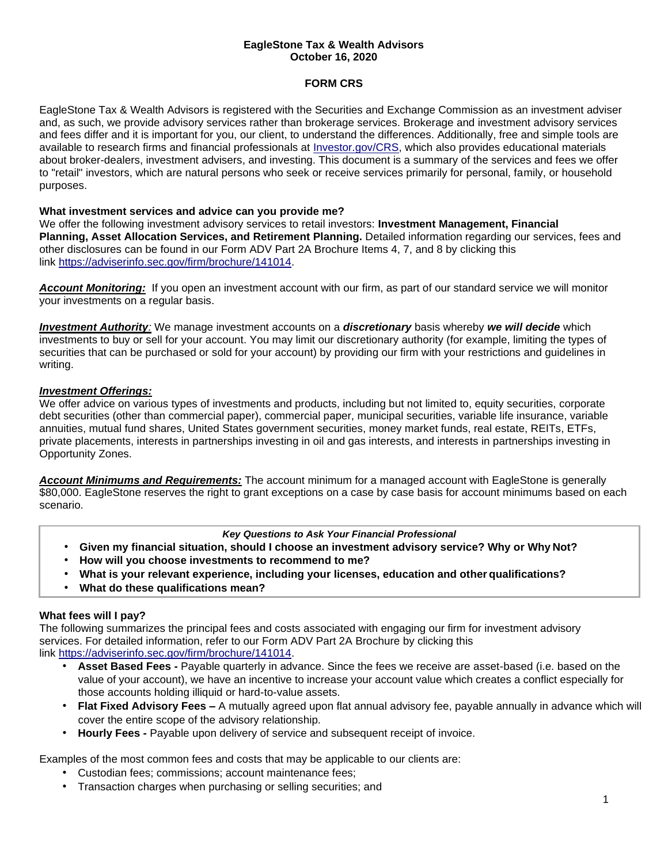### **EagleStone Tax & Wealth Advisors October 16, 2020**

# **FORM CRS**

EagleStone Tax & Wealth Advisors is registered with the Securities and Exchange Commission as an investment adviser and, as such, we provide advisory services rather than brokerage services. Brokerage and investment advisory services and fees differ and it is important for you, our client, to understand the differences. Additionally, free and simple tools are available to research firms and financial professionals at [Investor.gov/CRS,](https://www.investor.gov/home/welcome-investor-gov-crs) which also provides educational materials about broker-dealers, investment advisers, and investing. This document is a summary of the services and fees we offer to "retail" investors, which are natural persons who seek or receive services primarily for personal, family, or household purposes.

### **What investment services and advice can you provide me?**

We offer the following investment advisory services to retail investors: **Investment Management, Financial Planning, Asset Allocation Services, and Retirement Planning.** Detailed information regarding our services, fees and other disclosures can be found in our Form ADV Part 2A Brochure Items 4, 7, and 8 by clicking this link https://adviserinfo.sec.gov/firm/brochure/141014.

*Account Monitoring:* If you open an investment account with our firm, as part of our standard service we will monitor your investments on a regular basis.

*Investment Authority:* We manage investment accounts on a *discretionary* basis whereby *we will decide* which investments to buy or sell for your account. You may limit our discretionary authority (for example, limiting the types of securities that can be purchased or sold for your account) by providing our firm with your restrictions and guidelines in writing.

# *Investment Offerings:*

We offer advice on various types of investments and products, including but not limited to, equity securities, corporate debt securities (other than commercial paper), commercial paper, municipal securities, variable life insurance, variable annuities, mutual fund shares, United States government securities, money market funds, real estate, REITs, ETFs, private placements, interests in partnerships investing in oil and gas interests, and interests in partnerships investing in Opportunity Zones.

*Account Minimums and Requirements:* The account minimum for a managed account with EagleStone is generally \$80,000. EagleStone reserves the right to grant exceptions on a case by case basis for account minimums based on each scenario.

#### *Key Questions to Ask Your Financial Professional*

- **Given my financial situation, should I choose an investment advisory service? Why or Why Not?**
- **How will you choose investments to recommend to me?**
- **What is your relevant experience, including your licenses, education and other qualifications?**
- **What do these qualifications mean?**

# **What fees will I pay?**

The following summarizes the principal fees and costs associated with engaging our firm for investment advisory services. For detailed information, refer to our Form ADV Part 2A Brochure by clicking this link https://adviserinfo.sec.gov/firm/brochure/141014.

- **Asset Based Fees -** Payable quarterly in advance. Since the fees we receive are asset-based (i.e. based on the value of your account), we have an incentive to increase your account value which creates a conflict especially for those accounts holding illiquid or hard-to-value assets.
- **Flat Fixed Advisory Fees –** A mutually agreed upon flat annual advisory fee, payable annually in advance which will cover the entire scope of the advisory relationship.
- **Hourly Fees -** Payable upon delivery of service and subsequent receipt of invoice.

Examples of the most common fees and costs that may be applicable to our clients are:

- Custodian fees; commissions; account maintenance fees;
- Transaction charges when purchasing or selling securities; and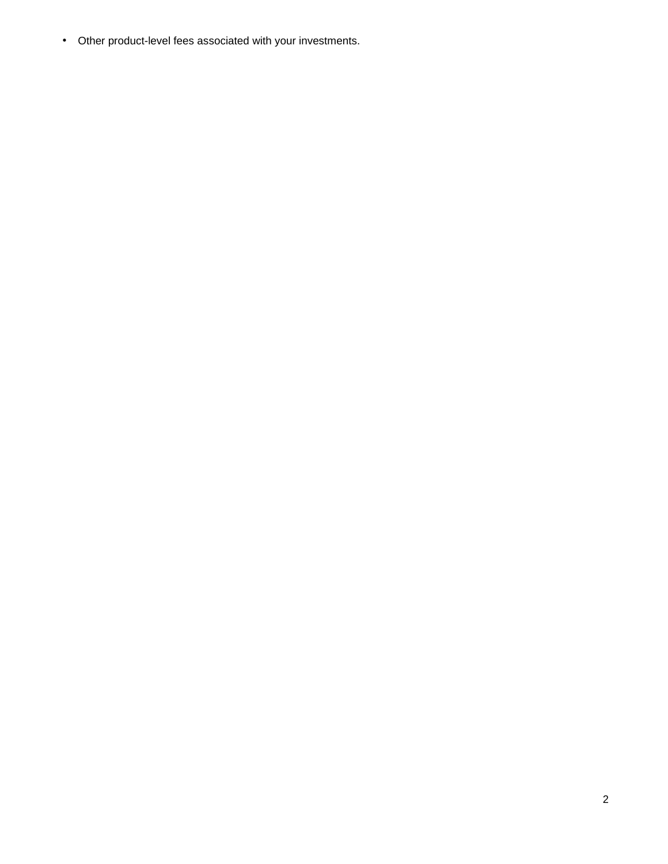• Other product-level fees associated with your investments.